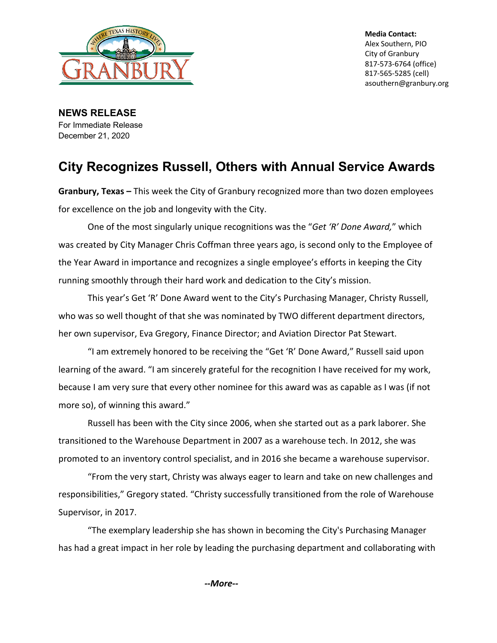

**Media Contact:** Alex Southern, PIO City of Granbury 817-573-6764 (office) 817-565-5285 (cell) asouthern@granbury.org

**NEWS RELEASE** For Immediate Release December 21, 2020

# **City Recognizes Russell, Others with Annual Service Awards**

**Granbury, Texas –** This week the City of Granbury recognized more than two dozen employees for excellence on the job and longevity with the City.

One of the most singularly unique recognitions was the "*Get 'R' Done Award,*" which was created by City Manager Chris Coffman three years ago, is second only to the Employee of the Year Award in importance and recognizes a single employee's efforts in keeping the City running smoothly through their hard work and dedication to the City's mission.

This year's Get 'R' Done Award went to the City's Purchasing Manager, Christy Russell, who was so well thought of that she was nominated by TWO different department directors, her own supervisor, Eva Gregory, Finance Director; and Aviation Director Pat Stewart.

"I am extremely honored to be receiving the "Get 'R' Done Award," Russell said upon learning of the award. "I am sincerely grateful for the recognition I have received for my work, because I am very sure that every other nominee for this award was as capable as I was (if not more so), of winning this award."

Russell has been with the City since 2006, when she started out as a park laborer. She transitioned to the Warehouse Department in 2007 as a warehouse tech. In 2012, she was promoted to an inventory control specialist, and in 2016 she became a warehouse supervisor.

"From the very start, Christy was always eager to learn and take on new challenges and responsibilities," Gregory stated. "Christy successfully transitioned from the role of Warehouse Supervisor, in 2017.

"The exemplary leadership she has shown in becoming the City's Purchasing Manager has had a great impact in her role by leading the purchasing department and collaborating with

*--More--*